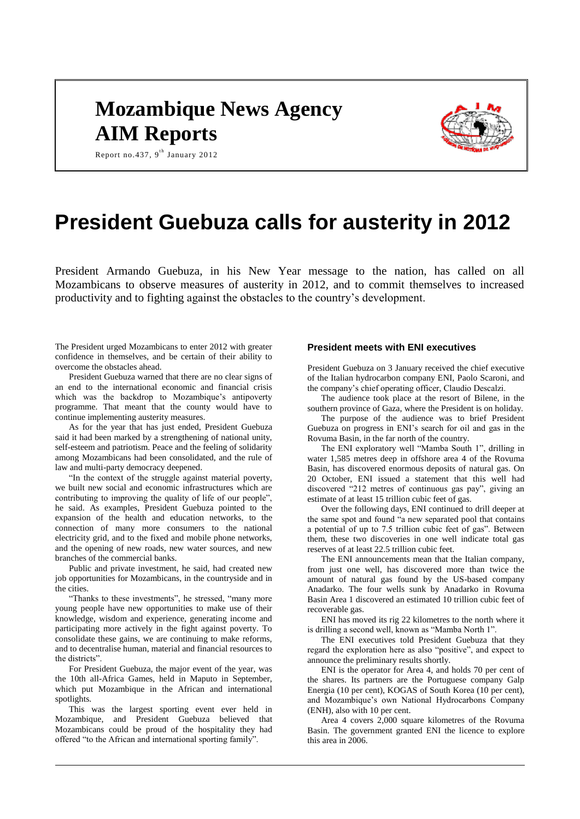# **Mozambique News Agency AIM Reports**



Report no.437, 9<sup>th</sup> January 2012

# **President Guebuza calls for austerity in 2012**

President Armando Guebuza, in his New Year message to the nation, has called on all Mozambicans to observe measures of austerity in 2012, and to commit themselves to increased productivity and to fighting against the obstacles to the country's development.

The President urged Mozambicans to enter 2012 with greater confidence in themselves, and be certain of their ability to overcome the obstacles ahead.

President Guebuza warned that there are no clear signs of an end to the international economic and financial crisis which was the backdrop to Mozambique's antipoverty programme. That meant that the county would have to continue implementing austerity measures.

As for the year that has just ended, President Guebuza said it had been marked by a strengthening of national unity, self-esteem and patriotism. Peace and the feeling of solidarity among Mozambicans had been consolidated, and the rule of law and multi-party democracy deepened.

"In the context of the struggle against material poverty, we built new social and economic infrastructures which are contributing to improving the quality of life of our people", he said. As examples, President Guebuza pointed to the expansion of the health and education networks, to the connection of many more consumers to the national electricity grid, and to the fixed and mobile phone networks, and the opening of new roads, new water sources, and new branches of the commercial banks.

Public and private investment, he said, had created new job opportunities for Mozambicans, in the countryside and in the cities.

"Thanks to these investments", he stressed, "many more young people have new opportunities to make use of their knowledge, wisdom and experience, generating income and participating more actively in the fight against poverty. To consolidate these gains, we are continuing to make reforms, and to decentralise human, material and financial resources to the districts".

For President Guebuza, the major event of the year, was the 10th all-Africa Games, held in Maputo in September, which put Mozambique in the African and international spotlights.

This was the largest sporting event ever held in Mozambique, and President Guebuza believed that Mozambicans could be proud of the hospitality they had offered "to the African and international sporting family".

## **President meets with ENI executives**

President Guebuza on 3 January received the chief executive of the Italian hydrocarbon company ENI, Paolo Scaroni, and the company's chief operating officer, Claudio Descalzi.

The audience took place at the resort of Bilene, in the southern province of Gaza, where the President is on holiday.

The purpose of the audience was to brief President Guebuza on progress in ENI's search for oil and gas in the Rovuma Basin, in the far north of the country.

The ENI exploratory well "Mamba South 1", drilling in water 1,585 metres deep in offshore area 4 of the Rovuma Basin, has discovered enormous deposits of natural gas. On 20 October, ENI issued a statement that this well had discovered "212 metres of continuous gas pay", giving an estimate of at least 15 trillion cubic feet of gas.

Over the following days, ENI continued to drill deeper at the same spot and found "a new separated pool that contains a potential of up to 7.5 trillion cubic feet of gas". Between them, these two discoveries in one well indicate total gas reserves of at least 22.5 trillion cubic feet.

The ENI announcements mean that the Italian company, from just one well, has discovered more than twice the amount of natural gas found by the US-based company Anadarko. The four wells sunk by Anadarko in Rovuma Basin Area 1 discovered an estimated 10 trillion cubic feet of recoverable gas.

ENI has moved its rig 22 kilometres to the north where it is drilling a second well, known as "Mamba North 1".

The ENI executives told President Guebuza that they regard the exploration here as also "positive", and expect to announce the preliminary results shortly.

ENI is the operator for Area 4, and holds 70 per cent of the shares. Its partners are the Portuguese company Galp Energia (10 per cent), KOGAS of South Korea (10 per cent), and Mozambique's own National Hydrocarbons Company (ENH), also with 10 per cent.

Area 4 covers 2,000 square kilometres of the Rovuma Basin. The government granted ENI the licence to explore this area in 2006.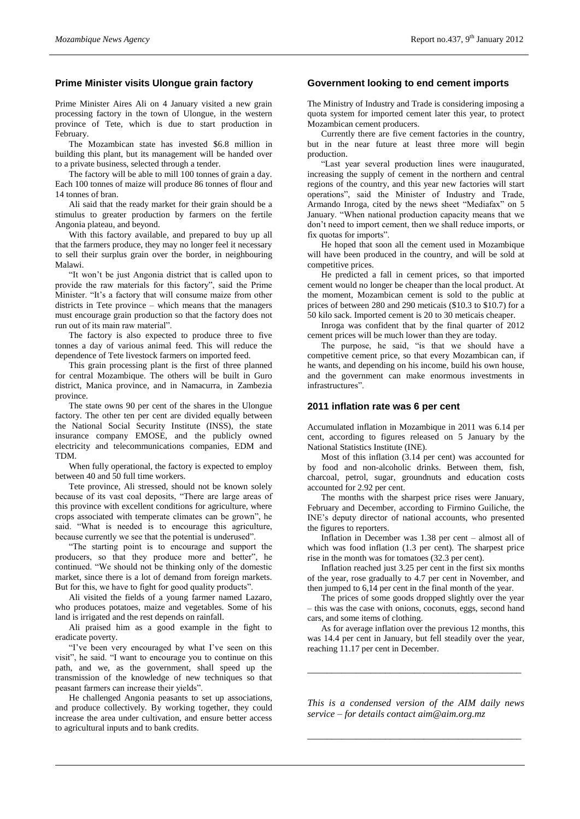## **Prime Minister visits Ulongue grain factory**

Prime Minister Aires Ali on 4 January visited a new grain processing factory in the town of Ulongue, in the western province of Tete, which is due to start production in February.

The Mozambican state has invested \$6.8 million in building this plant, but its management will be handed over to a private business, selected through a tender.

The factory will be able to mill 100 tonnes of grain a day. Each 100 tonnes of maize will produce 86 tonnes of flour and 14 tonnes of bran.

Ali said that the ready market for their grain should be a stimulus to greater production by farmers on the fertile Angonia plateau, and beyond.

With this factory available, and prepared to buy up all that the farmers produce, they may no longer feel it necessary to sell their surplus grain over the border, in neighbouring Malawi.

"It won't be just Angonia district that is called upon to provide the raw materials for this factory", said the Prime Minister. "It's a factory that will consume maize from other districts in Tete province – which means that the managers must encourage grain production so that the factory does not run out of its main raw material".

The factory is also expected to produce three to five tonnes a day of various animal feed. This will reduce the dependence of Tete livestock farmers on imported feed.

This grain processing plant is the first of three planned for central Mozambique. The others will be built in Guro district, Manica province, and in Namacurra, in Zambezia province.

The state owns 90 per cent of the shares in the Ulongue factory. The other ten per cent are divided equally between the National Social Security Institute (INSS), the state insurance company EMOSE, and the publicly owned electricity and telecommunications companies, EDM and TDM.

When fully operational, the factory is expected to employ between 40 and 50 full time workers.

Tete province, Ali stressed, should not be known solely because of its vast coal deposits, "There are large areas of this province with excellent conditions for agriculture, where crops associated with temperate climates can be grown", he said. "What is needed is to encourage this agriculture, because currently we see that the potential is underused".

"The starting point is to encourage and support the producers, so that they produce more and better", he continued. "We should not be thinking only of the domestic market, since there is a lot of demand from foreign markets. But for this, we have to fight for good quality products".

Ali visited the fields of a young farmer named Lazaro, who produces potatoes, maize and vegetables. Some of his land is irrigated and the rest depends on rainfall.

Ali praised him as a good example in the fight to eradicate poverty.

"I've been very encouraged by what I've seen on this visit", he said. "I want to encourage you to continue on this path, and we, as the government, shall speed up the transmission of the knowledge of new techniques so that peasant farmers can increase their yields".

He challenged Angonia peasants to set up associations, and produce collectively. By working together, they could increase the area under cultivation, and ensure better access to agricultural inputs and to bank credits.

## **Government looking to end cement imports**

The Ministry of Industry and Trade is considering imposing a quota system for imported cement later this year, to protect Mozambican cement producers.

Currently there are five cement factories in the country, but in the near future at least three more will begin production.

"Last year several production lines were inaugurated, increasing the supply of cement in the northern and central regions of the country, and this year new factories will start operations", said the Minister of Industry and Trade, Armando Inroga, cited by the news sheet "Mediafax" on 5 January. "When national production capacity means that we don't need to import cement, then we shall reduce imports, or fix quotas for imports".

He hoped that soon all the cement used in Mozambique will have been produced in the country, and will be sold at competitive prices.

He predicted a fall in cement prices, so that imported cement would no longer be cheaper than the local product. At the moment, Mozambican cement is sold to the public at prices of between 280 and 290 meticais (\$10.3 to \$10.7) for a 50 kilo sack. Imported cement is 20 to 30 meticais cheaper.

Inroga was confident that by the final quarter of 2012 cement prices will be much lower than they are today.

The purpose, he said, "is that we should have a competitive cement price, so that every Mozambican can, if he wants, and depending on his income, build his own house, and the government can make enormous investments in infrastructures".

#### **2011 inflation rate was 6 per cent**

Accumulated inflation in Mozambique in 2011 was 6.14 per cent, according to figures released on 5 January by the National Statistics Institute (INE).

Most of this inflation (3.14 per cent) was accounted for by food and non-alcoholic drinks. Between them, fish, charcoal, petrol, sugar, groundnuts and education costs accounted for 2.92 per cent.

The months with the sharpest price rises were January, February and December, according to Firmino Guiliche, the INE's deputy director of national accounts, who presented the figures to reporters.

Inflation in December was 1.38 per cent – almost all of which was food inflation (1.3 per cent). The sharpest price rise in the month was for tomatoes (32.3 per cent).

Inflation reached just 3.25 per cent in the first six months of the year, rose gradually to 4.7 per cent in November, and then jumped to 6,14 per cent in the final month of the year.

The prices of some goods dropped slightly over the year – this was the case with onions, coconuts, eggs, second hand cars, and some items of clothing.

As for average inflation over the previous 12 months, this was 14.4 per cent in January, but fell steadily over the year, reaching 11.17 per cent in December.

*\_\_\_\_\_\_\_\_\_\_\_\_\_\_\_\_\_\_\_\_\_\_\_\_\_\_\_\_\_\_\_\_\_\_\_\_\_\_\_\_\_\_\_\_*

*This is a condensed version of the AIM daily news service – for details contact [aim@aim.org.mz](mailto:aim@aim.org.mz)*

*\_\_\_\_\_\_\_\_\_\_\_\_\_\_\_\_\_\_\_\_\_\_\_\_\_\_\_\_\_\_\_\_\_\_\_\_\_\_\_\_\_\_\_\_*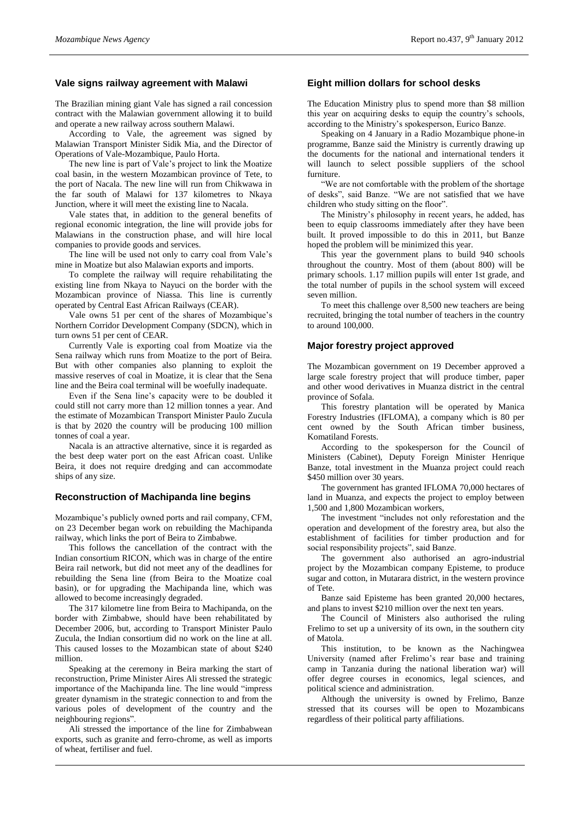## **Vale signs railway agreement with Malawi**

The Brazilian mining giant Vale has signed a rail concession contract with the Malawian government allowing it to build and operate a new railway across southern Malawi.

According to Vale, the agreement was signed by Malawian Transport Minister Sidik Mia, and the Director of Operations of Vale-Mozambique, Paulo Horta.

The new line is part of Vale's project to link the Moatize coal basin, in the western Mozambican province of Tete, to the port of Nacala. The new line will run from Chikwawa in the far south of Malawi for 137 kilometres to Nkaya Junction, where it will meet the existing line to Nacala.

Vale states that, in addition to the general benefits of regional economic integration, the line will provide jobs for Malawians in the construction phase, and will hire local companies to provide goods and services.

The line will be used not only to carry coal from Vale's mine in Moatize but also Malawian exports and imports.

To complete the railway will require rehabilitating the existing line from Nkaya to Nayuci on the border with the Mozambican province of Niassa. This line is currently operated by Central East African Railways (CEAR).

Vale owns 51 per cent of the shares of Mozambique's Northern Corridor Development Company (SDCN), which in turn owns 51 per cent of CEAR.

Currently Vale is exporting coal from Moatize via the Sena railway which runs from Moatize to the port of Beira. But with other companies also planning to exploit the massive reserves of coal in Moatize, it is clear that the Sena line and the Beira coal terminal will be woefully inadequate.

Even if the Sena line's capacity were to be doubled it could still not carry more than 12 million tonnes a year. And the estimate of Mozambican Transport Minister Paulo Zucula is that by 2020 the country will be producing 100 million tonnes of coal a year.

Nacala is an attractive alternative, since it is regarded as the best deep water port on the east African coast. Unlike Beira, it does not require dredging and can accommodate ships of any size.

### **Reconstruction of Machipanda line begins**

Mozambique's publicly owned ports and rail company, CFM, on 23 December began work on rebuilding the Machipanda railway, which links the port of Beira to Zimbabwe.

This follows the cancellation of the contract with the Indian consortium RICON, which was in charge of the entire Beira rail network, but did not meet any of the deadlines for rebuilding the Sena line (from Beira to the Moatize coal basin), or for upgrading the Machipanda line, which was allowed to become increasingly degraded.

The 317 kilometre line from Beira to Machipanda, on the border with Zimbabwe, should have been rehabilitated by December 2006, but, according to Transport Minister Paulo Zucula, the Indian consortium did no work on the line at all. This caused losses to the Mozambican state of about \$240 million.

Speaking at the ceremony in Beira marking the start of reconstruction, Prime Minister Aires Ali stressed the strategic importance of the Machipanda line. The line would "impress greater dynamism in the strategic connection to and from the various poles of development of the country and the neighbouring regions".

Ali stressed the importance of the line for Zimbabwean exports, such as granite and ferro-chrome, as well as imports of wheat, fertiliser and fuel.

## **Eight million dollars for school desks**

The Education Ministry plus to spend more than \$8 million this year on acquiring desks to equip the country's schools, according to the Ministry's spokesperson, Eurico Banze.

Speaking on 4 January in a Radio Mozambique phone-in programme, Banze said the Ministry is currently drawing up the documents for the national and international tenders it will launch to select possible suppliers of the school furniture.

"We are not comfortable with the problem of the shortage of desks", said Banze. "We are not satisfied that we have children who study sitting on the floor".

The Ministry's philosophy in recent years, he added, has been to equip classrooms immediately after they have been built. It proved impossible to do this in 2011, but Banze hoped the problem will be minimized this year.

This year the government plans to build 940 schools throughout the country. Most of them (about 800) will be primary schools. 1.17 million pupils will enter 1st grade, and the total number of pupils in the school system will exceed seven million.

To meet this challenge over 8,500 new teachers are being recruited, bringing the total number of teachers in the country to around 100,000.

## **Major forestry project approved**

The Mozambican government on 19 December approved a large scale forestry project that will produce timber, paper and other wood derivatives in Muanza district in the central province of Sofala.

This forestry plantation will be operated by Manica Forestry Industries (IFLOMA), a company which is 80 per cent owned by the South African timber business, Komatiland Forests.

According to the spokesperson for the Council of Ministers (Cabinet), Deputy Foreign Minister Henrique Banze, total investment in the Muanza project could reach \$450 million over 30 years.

The government has granted IFLOMA 70,000 hectares of land in Muanza, and expects the project to employ between 1,500 and 1,800 Mozambican workers,

The investment "includes not only reforestation and the operation and development of the forestry area, but also the establishment of facilities for timber production and for social responsibility projects", said Banze.

The government also authorised an agro-industrial project by the Mozambican company Episteme, to produce sugar and cotton, in Mutarara district, in the western province of Tete.

Banze said Episteme has been granted 20,000 hectares, and plans to invest \$210 million over the next ten years.

The Council of Ministers also authorised the ruling Frelimo to set up a university of its own, in the southern city of Matola.

This institution, to be known as the Nachingwea University (named after Frelimo's rear base and training camp in Tanzania during the national liberation war) will offer degree courses in economics, legal sciences, and political science and administration.

Although the university is owned by Frelimo, Banze stressed that its courses will be open to Mozambicans regardless of their political party affiliations.